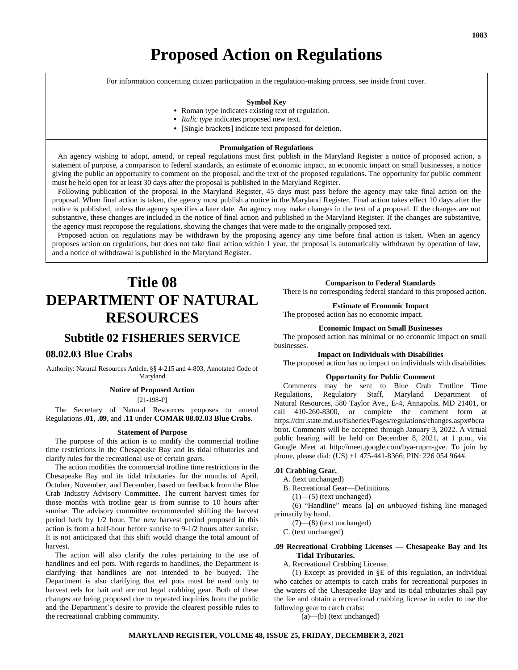# **Proposed Action on Regulations**

For information concerning citizen participation in the regulation-making process, see inside front cover.

#### **Symbol Key**

- **•** Roman type indicates existing text of regulation.
- **•** *Italic type* indicates proposed new text.
- **•** [Single brackets] indicate text proposed for deletion.

#### **Promulgation of Regulations**

 An agency wishing to adopt, amend, or repeal regulations must first publish in the Maryland Register a notice of proposed action, a statement of purpose, a comparison to federal standards, an estimate of economic impact, an economic impact on small businesses, a notice giving the public an opportunity to comment on the proposal, and the text of the proposed regulations. The opportunity for public comment must be held open for at least 30 days after the proposal is published in the Maryland Register.

 Following publication of the proposal in the Maryland Register, 45 days must pass before the agency may take final action on the proposal. When final action is taken, the agency must publish a notice in the Maryland Register. Final action takes effect 10 days after the notice is published, unless the agency specifies a later date. An agency may make changes in the text of a proposal. If the changes are not substantive, these changes are included in the notice of final action and published in the Maryland Register. If the changes are substantive, the agency must repropose the regulations, showing the changes that were made to the originally proposed text.

 Proposed action on regulations may be withdrawn by the proposing agency any time before final action is taken. When an agency proposes action on regulations, but does not take final action within 1 year, the proposal is automatically withdrawn by operation of law, and a notice of withdrawal is published in the Maryland Register.

# **Title 08 DEPARTMENT OF NATURAL RESOURCES**

## **Subtitle 02 FISHERIES SERVICE**

### **08.02.03 Blue Crabs**

Authority: Natural Resources Article, §§ 4-215 and 4-803, Annotated Code of Maryland

#### **Notice of Proposed Action**

[21-198-P]

The Secretary of Natural Resources proposes to amend Regulations **.01**, **.09**, and **.11** under **COMAR 08.02.03 Blue Crabs**.

#### **Statement of Purpose**

The purpose of this action is to modify the commercial trotline time restrictions in the Chesapeake Bay and its tidal tributaries and clarify rules for the recreational use of certain gears.

The action modifies the commercial trotline time restrictions in the Chesapeake Bay and its tidal tributaries for the months of April, October, November, and December, based on feedback from the Blue Crab Industry Advisory Committee. The current harvest times for those months with trotline gear is from sunrise to 10 hours after sunrise. The advisory committee recommended shifting the harvest period back by 1/2 hour. The new harvest period proposed in this action is from a half-hour before sunrise to 9-1/2 hours after sunrise. It is not anticipated that this shift would change the total amount of harvest.

The action will also clarify the rules pertaining to the use of handlines and eel pots. With regards to handlines, the Department is clarifying that handlines are not intended to be buoyed. The Department is also clarifying that eel pots must be used only to harvest eels for bait and are not legal crabbing gear. Both of these changes are being proposed due to repeated inquiries from the public and the Department's desire to provide the clearest possible rules to the recreational crabbing community.

#### **Comparison to Federal Standards**

There is no corresponding federal standard to this proposed action.

#### **Estimate of Economic Impact**

The proposed action has no economic impact.

#### **Economic Impact on Small Businesses**

The proposed action has minimal or no economic impact on small businesses.

#### **Impact on Individuals with Disabilities**

The proposed action has no impact on individuals with disabilities.

#### **Opportunity for Public Comment**

Comments may be sent to Blue Crab Trotline Time Regulations, Regulatory Staff, Maryland Department of Natural Resources, 580 Taylor Ave., E-4, Annapolis, MD 21401, or call 410-260-8300, or complete the comment form at https://dnr.state.md.us/fisheries/Pages/regulations/changes.aspx#bcra btrot. Comments will be accepted through January 3, 2022. A virtual public hearing will be held on December 8, 2021, at 1 p.m., via Google Meet at http://meet.google.com/bya-rupm-gve. To join by phone, please dial: (US) +1 475-441-8366; PIN: 226 054 964#.

#### **.01 Crabbing Gear.**

A. (text unchanged)

B. Recreational Gear—Definitions.

 $(1)$ — $(5)$  (text unchanged)

(6) "Handline" means **[**a**]** *an unbuoyed* fishing line managed primarily by hand.

(7)—(8) (text unchanged)

C. (text unchanged)

#### **.09 Recreational Crabbing Licenses — Chesapeake Bay and Its Tidal Tributaries.**

A. Recreational Crabbing License.

(1) Except as provided in §E of this regulation, an individual who catches or attempts to catch crabs for recreational purposes in the waters of the Chesapeake Bay and its tidal tributaries shall pay the fee and obtain a recreational crabbing license in order to use the following gear to catch crabs:

(a)—(b) (text unchanged)

#### **MARYLAND REGISTER, VOLUME 48, ISSUE 25, FRIDAY, DECEMBER 3, 2021**